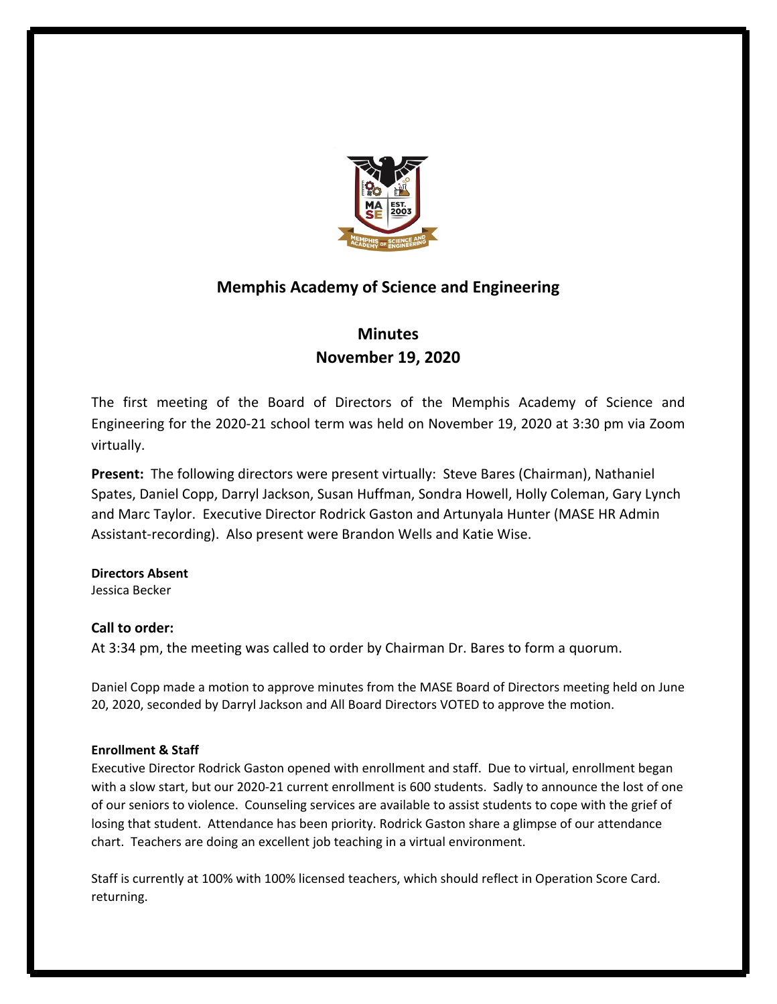

## **Memphis Academy of Science and Engineering**

# **Minutes November 19, 2020**

The first meeting of the Board of Directors of the Memphis Academy of Science and Engineering for the 2020-21 school term was held on November 19, 2020 at 3:30 pm via Zoom virtually.

**Present:** The following directors were present virtually: Steve Bares (Chairman), Nathaniel Spates, Daniel Copp, Darryl Jackson, Susan Huffman, Sondra Howell, Holly Coleman, Gary Lynch and Marc Taylor. Executive Director Rodrick Gaston and Artunyala Hunter (MASE HR Admin Assistant-recording). Also present were Brandon Wells and Katie Wise.

## **Directors Absent**

Jessica Becker

## **Call to order:**

At 3:34 pm, the meeting was called to order by Chairman Dr. Bares to form a quorum.

Daniel Copp made a motion to approve minutes from the MASE Board of Directors meeting held on June 20, 2020, seconded by Darryl Jackson and All Board Directors VOTED to approve the motion.

### **Enrollment & Staff**

Executive Director Rodrick Gaston opened with enrollment and staff. Due to virtual, enrollment began with a slow start, but our 2020-21 current enrollment is 600 students. Sadly to announce the lost of one of our seniors to violence. Counseling services are available to assist students to cope with the grief of losing that student. Attendance has been priority. Rodrick Gaston share a glimpse of our attendance chart. Teachers are doing an excellent job teaching in a virtual environment.

Staff is currently at 100% with 100% licensed teachers, which should reflect in Operation Score Card. returning.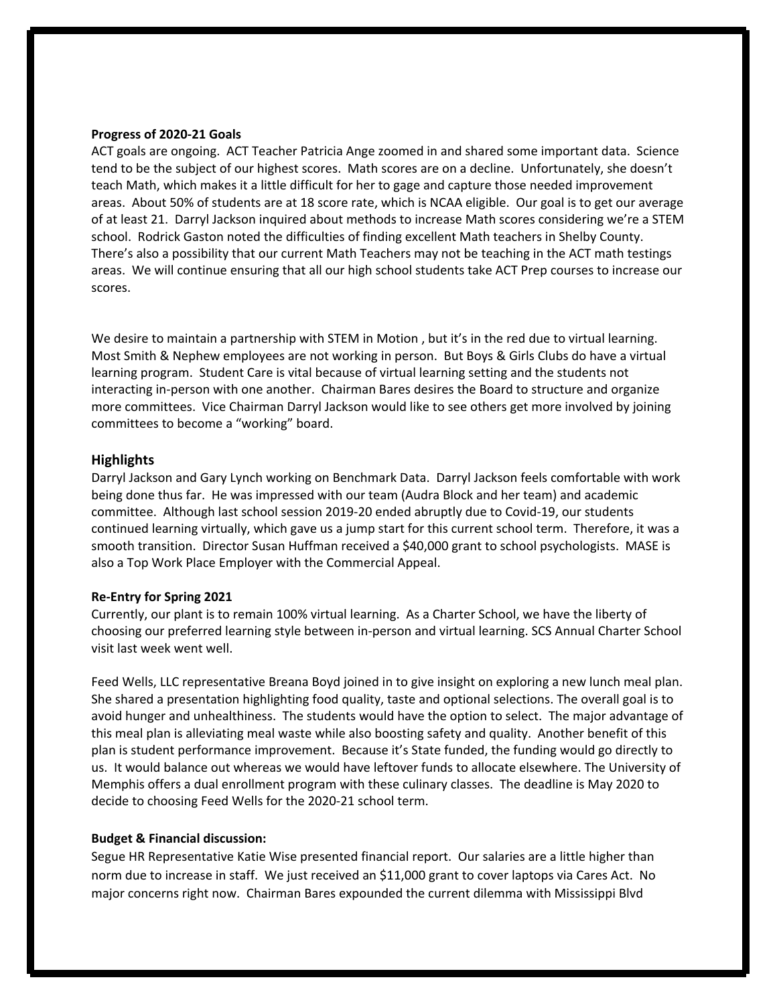#### **Progress of 2020-21 Goals**

ACT goals are ongoing. ACT Teacher Patricia Ange zoomed in and shared some important data. Science tend to be the subject of our highest scores. Math scores are on a decline. Unfortunately, she doesn't teach Math, which makes it a little difficult for her to gage and capture those needed improvement areas. About 50% of students are at 18 score rate, which is NCAA eligible. Our goal is to get our average of at least 21. Darryl Jackson inquired about methods to increase Math scores considering we're a STEM school. Rodrick Gaston noted the difficulties of finding excellent Math teachers in Shelby County. There's also a possibility that our current Math Teachers may not be teaching in the ACT math testings areas. We will continue ensuring that all our high school students take ACT Prep courses to increase our scores.

We desire to maintain a partnership with STEM in Motion, but it's in the red due to virtual learning. Most Smith & Nephew employees are not working in person. But Boys & Girls Clubs do have a virtual learning program. Student Care is vital because of virtual learning setting and the students not interacting in-person with one another. Chairman Bares desires the Board to structure and organize more committees. Vice Chairman Darryl Jackson would like to see others get more involved by joining committees to become a "working" board.

#### **Highlights**

Darryl Jackson and Gary Lynch working on Benchmark Data. Darryl Jackson feels comfortable with work being done thus far. He was impressed with our team (Audra Block and her team) and academic committee. Although last school session 2019-20 ended abruptly due to Covid-19, our students continued learning virtually, which gave us a jump start for this current school term. Therefore, it was a smooth transition. Director Susan Huffman received a \$40,000 grant to school psychologists. MASE is also a Top Work Place Employer with the Commercial Appeal.

#### **Re-Entry for Spring 2021**

Currently, our plant is to remain 100% virtual learning. As a Charter School, we have the liberty of choosing our preferred learning style between in-person and virtual learning. SCS Annual Charter School visit last week went well.

Feed Wells, LLC representative Breana Boyd joined in to give insight on exploring a new lunch meal plan. She shared a presentation highlighting food quality, taste and optional selections. The overall goal is to avoid hunger and unhealthiness. The students would have the option to select. The major advantage of this meal plan is alleviating meal waste while also boosting safety and quality. Another benefit of this plan is student performance improvement. Because it's State funded, the funding would go directly to us. It would balance out whereas we would have leftover funds to allocate elsewhere. The University of Memphis offers a dual enrollment program with these culinary classes. The deadline is May 2020 to decide to choosing Feed Wells for the 2020-21 school term.

#### **Budget & Financial discussion:**

Segue HR Representative Katie Wise presented financial report. Our salaries are a little higher than norm due to increase in staff. We just received an \$11,000 grant to cover laptops via Cares Act. No major concerns right now. Chairman Bares expounded the current dilemma with Mississippi Blvd